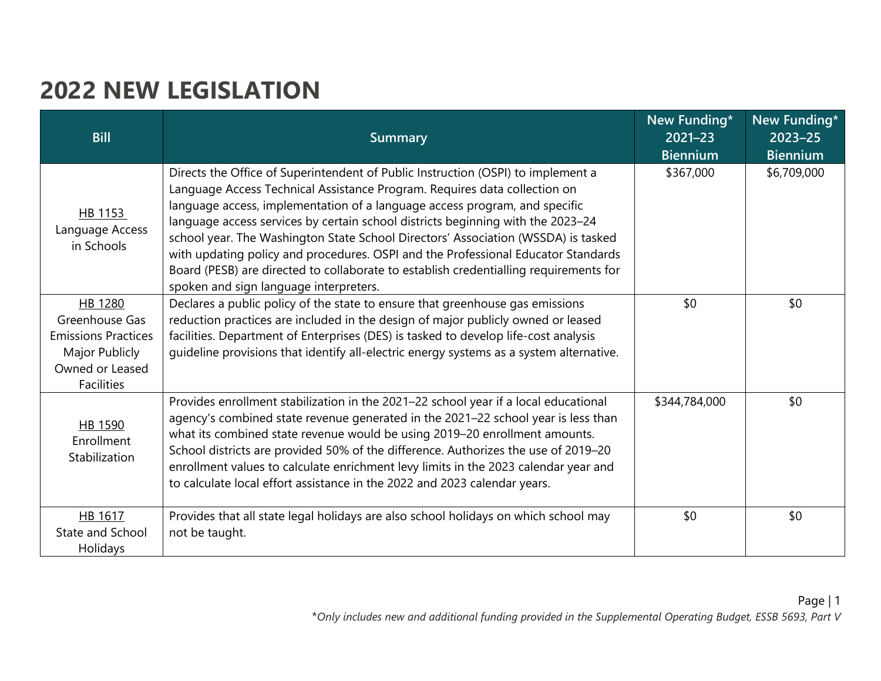## **2022 NEW LEGISLATION**

| <b>Bill</b>                                                                                                       | <b>Summary</b>                                                                                                                                                                                                                                                                                                                                                                                                                                                                                                                                                                                                                              | New Funding*<br>$2021 - 23$<br><b>Biennium</b> | New Funding*<br>$2023 - 25$<br><b>Biennium</b> |
|-------------------------------------------------------------------------------------------------------------------|---------------------------------------------------------------------------------------------------------------------------------------------------------------------------------------------------------------------------------------------------------------------------------------------------------------------------------------------------------------------------------------------------------------------------------------------------------------------------------------------------------------------------------------------------------------------------------------------------------------------------------------------|------------------------------------------------|------------------------------------------------|
| HB 1153<br>Language Access<br>in Schools                                                                          | Directs the Office of Superintendent of Public Instruction (OSPI) to implement a<br>Language Access Technical Assistance Program. Requires data collection on<br>language access, implementation of a language access program, and specific<br>language access services by certain school districts beginning with the 2023-24<br>school year. The Washington State School Directors' Association (WSSDA) is tasked<br>with updating policy and procedures. OSPI and the Professional Educator Standards<br>Board (PESB) are directed to collaborate to establish credentialling requirements for<br>spoken and sign language interpreters. | \$367,000                                      | \$6,709,000                                    |
| HB 1280<br>Greenhouse Gas<br><b>Emissions Practices</b><br>Major Publicly<br>Owned or Leased<br><b>Facilities</b> | Declares a public policy of the state to ensure that greenhouse gas emissions<br>reduction practices are included in the design of major publicly owned or leased<br>facilities. Department of Enterprises (DES) is tasked to develop life-cost analysis<br>guideline provisions that identify all-electric energy systems as a system alternative.                                                                                                                                                                                                                                                                                         | \$0                                            | \$0                                            |
| HB 1590<br>Enrollment<br>Stabilization                                                                            | Provides enrollment stabilization in the 2021-22 school year if a local educational<br>agency's combined state revenue generated in the 2021-22 school year is less than<br>what its combined state revenue would be using 2019-20 enrollment amounts.<br>School districts are provided 50% of the difference. Authorizes the use of 2019-20<br>enrollment values to calculate enrichment levy limits in the 2023 calendar year and<br>to calculate local effort assistance in the 2022 and 2023 calendar years.                                                                                                                            | \$344,784,000                                  | \$0                                            |
| HB 1617<br>State and School<br>Holidays                                                                           | Provides that all state legal holidays are also school holidays on which school may<br>not be taught.                                                                                                                                                                                                                                                                                                                                                                                                                                                                                                                                       | \$0                                            | \$0                                            |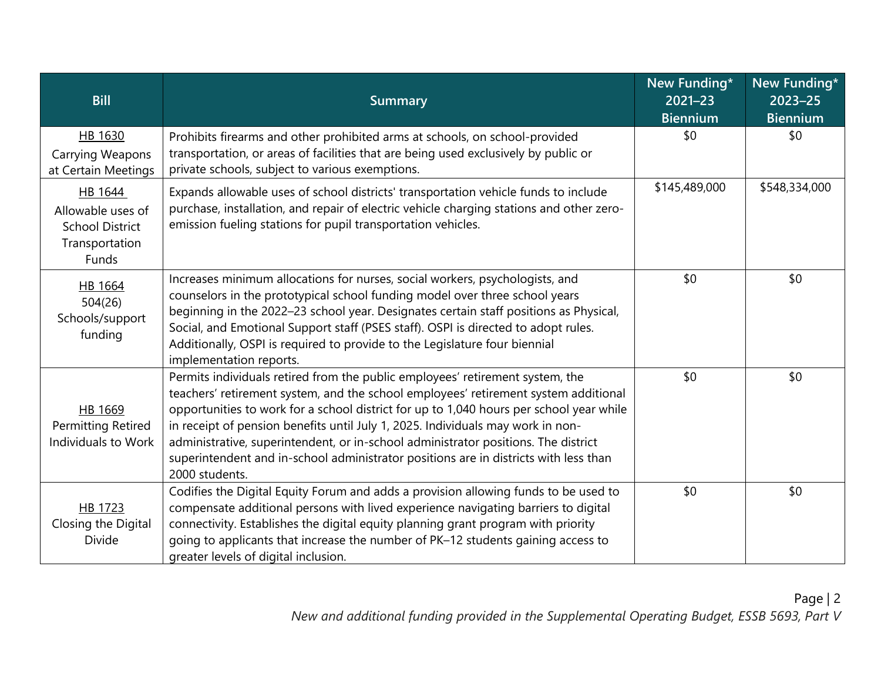| <b>Bill</b>                                                                       | <b>Summary</b>                                                                                                                                                                                                                                                                                                                                                                                                                                                                                                                                     | New Funding*<br>$2021 - 23$<br><b>Biennium</b> | New Funding*<br>$2023 - 25$<br>Biennium |
|-----------------------------------------------------------------------------------|----------------------------------------------------------------------------------------------------------------------------------------------------------------------------------------------------------------------------------------------------------------------------------------------------------------------------------------------------------------------------------------------------------------------------------------------------------------------------------------------------------------------------------------------------|------------------------------------------------|-----------------------------------------|
| HB 1630<br>Carrying Weapons<br>at Certain Meetings                                | Prohibits firearms and other prohibited arms at schools, on school-provided<br>transportation, or areas of facilities that are being used exclusively by public or<br>private schools, subject to various exemptions.                                                                                                                                                                                                                                                                                                                              | \$0                                            | \$0                                     |
| HB 1644<br>Allowable uses of<br><b>School District</b><br>Transportation<br>Funds | Expands allowable uses of school districts' transportation vehicle funds to include<br>purchase, installation, and repair of electric vehicle charging stations and other zero-<br>emission fueling stations for pupil transportation vehicles.                                                                                                                                                                                                                                                                                                    | \$145,489,000                                  | \$548,334,000                           |
| HB 1664<br>504(26)<br>Schools/support<br>funding                                  | Increases minimum allocations for nurses, social workers, psychologists, and<br>counselors in the prototypical school funding model over three school years<br>beginning in the 2022-23 school year. Designates certain staff positions as Physical,<br>Social, and Emotional Support staff (PSES staff). OSPI is directed to adopt rules.<br>Additionally, OSPI is required to provide to the Legislature four biennial<br>implementation reports.                                                                                                | \$0                                            | \$0                                     |
| HB 1669<br>Permitting Retired<br>Individuals to Work                              | Permits individuals retired from the public employees' retirement system, the<br>teachers' retirement system, and the school employees' retirement system additional<br>opportunities to work for a school district for up to 1,040 hours per school year while<br>in receipt of pension benefits until July 1, 2025. Individuals may work in non-<br>administrative, superintendent, or in-school administrator positions. The district<br>superintendent and in-school administrator positions are in districts with less than<br>2000 students. | \$0                                            | \$0                                     |
| HB 1723<br>Closing the Digital<br><b>Divide</b>                                   | Codifies the Digital Equity Forum and adds a provision allowing funds to be used to<br>compensate additional persons with lived experience navigating barriers to digital<br>connectivity. Establishes the digital equity planning grant program with priority<br>going to applicants that increase the number of PK-12 students gaining access to<br>greater levels of digital inclusion.                                                                                                                                                         | \$0                                            | \$0                                     |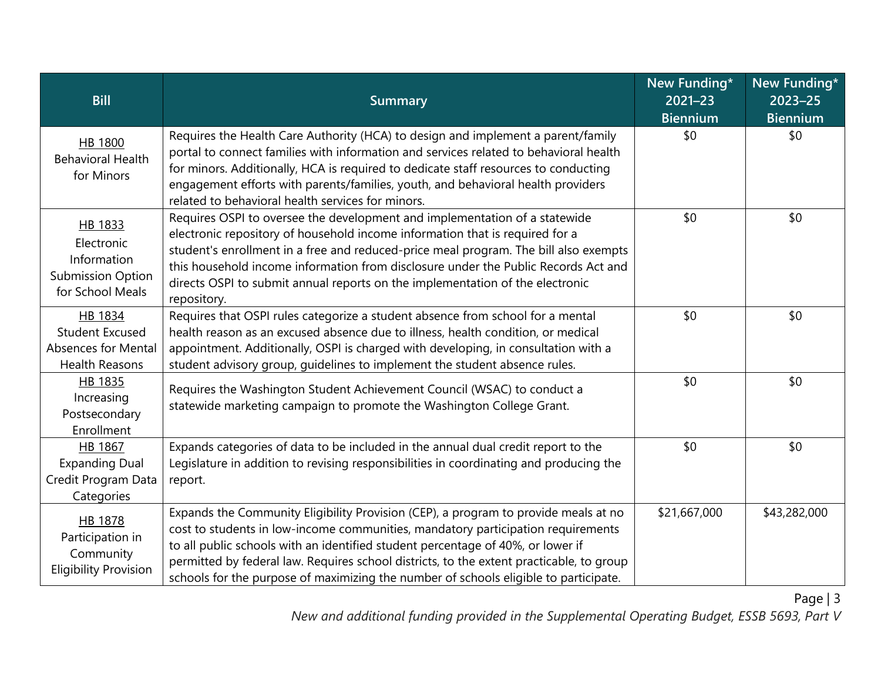| <b>Bill</b>                                                                          | <b>Summary</b>                                                                                                                                                                                                                                                                                                                                                                                                                                 | New Funding*<br>2021-23<br><b>Biennium</b> | New Funding*<br>$2023 - 25$<br><b>Biennium</b> |
|--------------------------------------------------------------------------------------|------------------------------------------------------------------------------------------------------------------------------------------------------------------------------------------------------------------------------------------------------------------------------------------------------------------------------------------------------------------------------------------------------------------------------------------------|--------------------------------------------|------------------------------------------------|
| HB 1800<br><b>Behavioral Health</b><br>for Minors                                    | Requires the Health Care Authority (HCA) to design and implement a parent/family<br>portal to connect families with information and services related to behavioral health<br>for minors. Additionally, HCA is required to dedicate staff resources to conducting<br>engagement efforts with parents/families, youth, and behavioral health providers<br>related to behavioral health services for minors.                                      | \$0                                        | \$0                                            |
| HB 1833<br>Electronic<br>Information<br><b>Submission Option</b><br>for School Meals | Requires OSPI to oversee the development and implementation of a statewide<br>electronic repository of household income information that is required for a<br>student's enrollment in a free and reduced-price meal program. The bill also exempts<br>this household income information from disclosure under the Public Records Act and<br>directs OSPI to submit annual reports on the implementation of the electronic<br>repository.       | \$0                                        | \$0                                            |
| HB 1834<br><b>Student Excused</b><br>Absences for Mental<br><b>Health Reasons</b>    | Requires that OSPI rules categorize a student absence from school for a mental<br>health reason as an excused absence due to illness, health condition, or medical<br>appointment. Additionally, OSPI is charged with developing, in consultation with a<br>student advisory group, guidelines to implement the student absence rules.                                                                                                         | \$0                                        | \$0                                            |
| HB 1835<br>Increasing<br>Postsecondary<br>Enrollment                                 | Requires the Washington Student Achievement Council (WSAC) to conduct a<br>statewide marketing campaign to promote the Washington College Grant.                                                                                                                                                                                                                                                                                               | \$0                                        | \$0                                            |
| HB 1867<br><b>Expanding Dual</b><br>Credit Program Data<br>Categories                | Expands categories of data to be included in the annual dual credit report to the<br>Legislature in addition to revising responsibilities in coordinating and producing the<br>report.                                                                                                                                                                                                                                                         | \$0                                        | \$0                                            |
| HB 1878<br>Participation in<br>Community<br><b>Eligibility Provision</b>             | Expands the Community Eligibility Provision (CEP), a program to provide meals at no<br>cost to students in low-income communities, mandatory participation requirements<br>to all public schools with an identified student percentage of 40%, or lower if<br>permitted by federal law. Requires school districts, to the extent practicable, to group<br>schools for the purpose of maximizing the number of schools eligible to participate. | \$21,667,000                               | \$43,282,000                                   |

*New and additional funding provided in the Supplemental Operating Budget, ESSB 5693, Part V*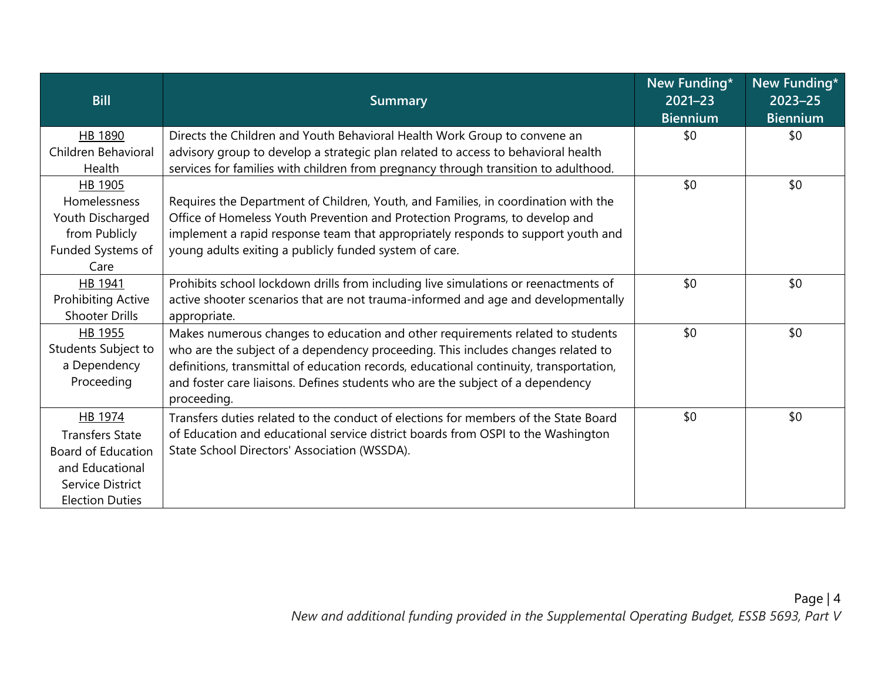| <b>Bill</b>               | <b>Summary</b>                                                                         | New Funding*<br>$2021 - 23$ | New Funding*<br>$2023 - 25$ |
|---------------------------|----------------------------------------------------------------------------------------|-----------------------------|-----------------------------|
|                           |                                                                                        | <b>Biennium</b>             | <b>Biennium</b>             |
| <b>HB 1890</b>            | Directs the Children and Youth Behavioral Health Work Group to convene an              | \$0                         | \$0                         |
| Children Behavioral       | advisory group to develop a strategic plan related to access to behavioral health      |                             |                             |
| Health                    | services for families with children from pregnancy through transition to adulthood.    |                             |                             |
| HB 1905                   |                                                                                        | \$0                         | \$0                         |
| Homelessness              | Requires the Department of Children, Youth, and Families, in coordination with the     |                             |                             |
| Youth Discharged          | Office of Homeless Youth Prevention and Protection Programs, to develop and            |                             |                             |
| from Publicly             | implement a rapid response team that appropriately responds to support youth and       |                             |                             |
| Funded Systems of         | young adults exiting a publicly funded system of care.                                 |                             |                             |
| Care                      |                                                                                        |                             |                             |
| HB 1941                   | Prohibits school lockdown drills from including live simulations or reenactments of    | \$0                         | \$0                         |
| <b>Prohibiting Active</b> | active shooter scenarios that are not trauma-informed and age and developmentally      |                             |                             |
| <b>Shooter Drills</b>     | appropriate.                                                                           |                             |                             |
| HB 1955                   | Makes numerous changes to education and other requirements related to students         | \$0                         | \$0                         |
| Students Subject to       | who are the subject of a dependency proceeding. This includes changes related to       |                             |                             |
| a Dependency              | definitions, transmittal of education records, educational continuity, transportation, |                             |                             |
| Proceeding                | and foster care liaisons. Defines students who are the subject of a dependency         |                             |                             |
|                           | proceeding.                                                                            |                             |                             |
| HB 1974                   | Transfers duties related to the conduct of elections for members of the State Board    | \$0                         | \$0                         |
| <b>Transfers State</b>    | of Education and educational service district boards from OSPI to the Washington       |                             |                             |
| <b>Board of Education</b> | State School Directors' Association (WSSDA).                                           |                             |                             |
| and Educational           |                                                                                        |                             |                             |
| Service District          |                                                                                        |                             |                             |
| <b>Election Duties</b>    |                                                                                        |                             |                             |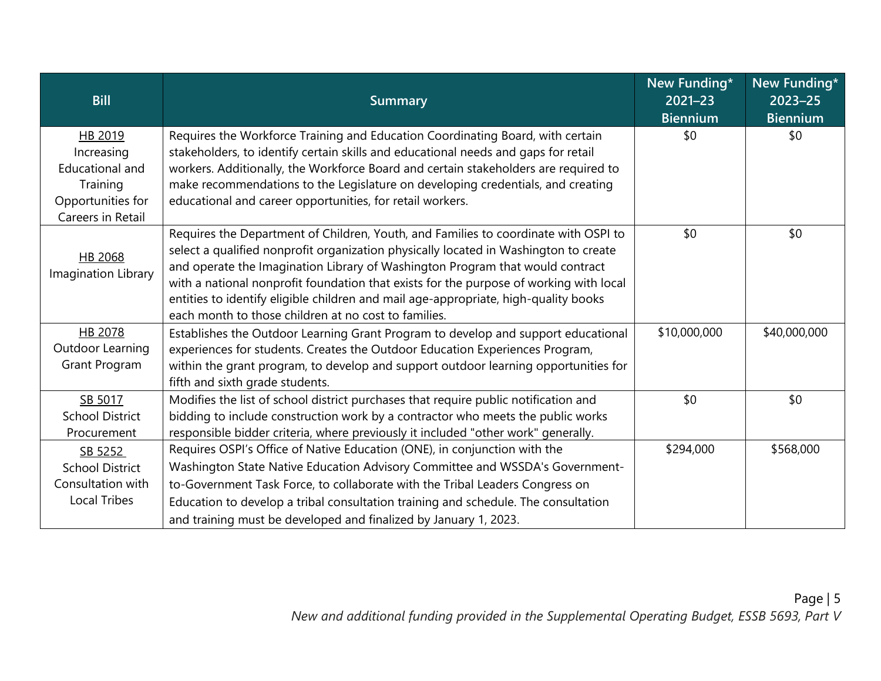| <b>Bill</b>                                                                                           | <b>Summary</b>                                                                                                                                                                                                                                                                                                                                                                                                                                                                                        | New Funding*<br>$2021 - 23$<br><b>Biennium</b> | New Funding*<br>$2023 - 25$<br><b>Biennium</b> |
|-------------------------------------------------------------------------------------------------------|-------------------------------------------------------------------------------------------------------------------------------------------------------------------------------------------------------------------------------------------------------------------------------------------------------------------------------------------------------------------------------------------------------------------------------------------------------------------------------------------------------|------------------------------------------------|------------------------------------------------|
| HB 2019<br>Increasing<br><b>Educational and</b><br>Training<br>Opportunities for<br>Careers in Retail | Requires the Workforce Training and Education Coordinating Board, with certain<br>stakeholders, to identify certain skills and educational needs and gaps for retail<br>workers. Additionally, the Workforce Board and certain stakeholders are required to<br>make recommendations to the Legislature on developing credentials, and creating<br>educational and career opportunities, for retail workers.                                                                                           | \$0                                            | \$0                                            |
| HB 2068<br>Imagination Library                                                                        | Requires the Department of Children, Youth, and Families to coordinate with OSPI to<br>select a qualified nonprofit organization physically located in Washington to create<br>and operate the Imagination Library of Washington Program that would contract<br>with a national nonprofit foundation that exists for the purpose of working with local<br>entities to identify eligible children and mail age-appropriate, high-quality books<br>each month to those children at no cost to families. | \$0                                            | \$0                                            |
| HB 2078<br>Outdoor Learning<br>Grant Program                                                          | Establishes the Outdoor Learning Grant Program to develop and support educational<br>experiences for students. Creates the Outdoor Education Experiences Program,<br>within the grant program, to develop and support outdoor learning opportunities for<br>fifth and sixth grade students.                                                                                                                                                                                                           | \$10,000,000                                   | \$40,000,000                                   |
| SB 5017<br><b>School District</b><br>Procurement                                                      | Modifies the list of school district purchases that require public notification and<br>bidding to include construction work by a contractor who meets the public works<br>responsible bidder criteria, where previously it included "other work" generally.                                                                                                                                                                                                                                           | \$0                                            | \$0                                            |
| SB 5252<br><b>School District</b><br>Consultation with<br><b>Local Tribes</b>                         | Requires OSPI's Office of Native Education (ONE), in conjunction with the<br>Washington State Native Education Advisory Committee and WSSDA's Government-<br>to-Government Task Force, to collaborate with the Tribal Leaders Congress on<br>Education to develop a tribal consultation training and schedule. The consultation<br>and training must be developed and finalized by January 1, 2023.                                                                                                   | \$294,000                                      | \$568,000                                      |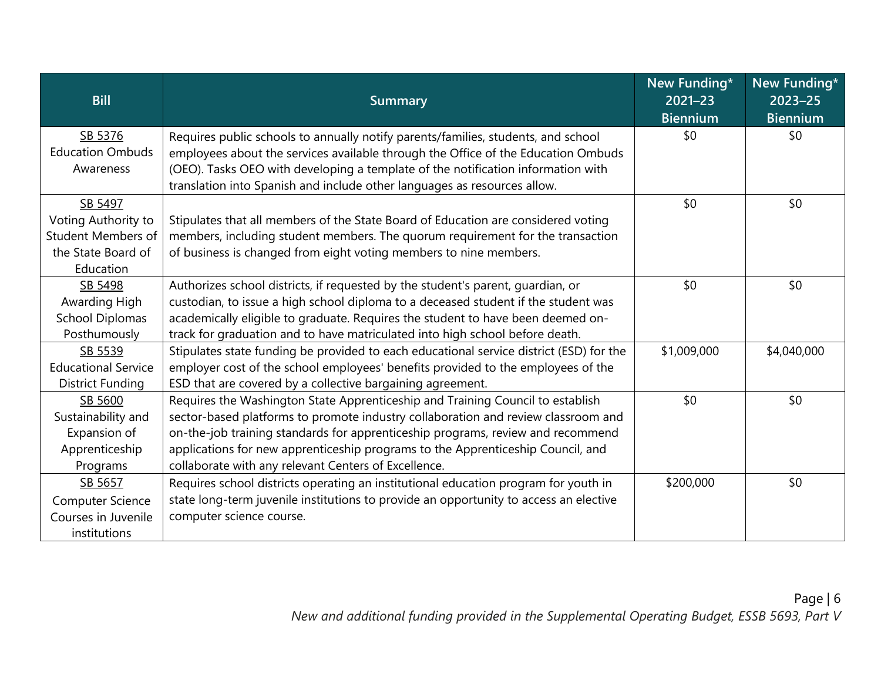| <b>Bill</b>                        | <b>Summary</b>                                                                                                                                                         | New Funding*<br>$2021 - 23$<br><b>Biennium</b> | New Funding*<br>$2023 - 25$<br><b>Biennium</b> |
|------------------------------------|------------------------------------------------------------------------------------------------------------------------------------------------------------------------|------------------------------------------------|------------------------------------------------|
| SB 5376<br><b>Education Ombuds</b> | Requires public schools to annually notify parents/families, students, and school<br>employees about the services available through the Office of the Education Ombuds | \$0                                            | \$0                                            |
| Awareness                          | (OEO). Tasks OEO with developing a template of the notification information with<br>translation into Spanish and include other languages as resources allow.           |                                                |                                                |
| SB 5497                            |                                                                                                                                                                        | \$0                                            | \$0                                            |
| Voting Authority to                | Stipulates that all members of the State Board of Education are considered voting                                                                                      |                                                |                                                |
| <b>Student Members of</b>          | members, including student members. The quorum requirement for the transaction                                                                                         |                                                |                                                |
| the State Board of                 | of business is changed from eight voting members to nine members.                                                                                                      |                                                |                                                |
| Education                          |                                                                                                                                                                        |                                                |                                                |
| SB 5498                            | Authorizes school districts, if requested by the student's parent, quardian, or                                                                                        | \$0                                            | \$0                                            |
| Awarding High                      | custodian, to issue a high school diploma to a deceased student if the student was                                                                                     |                                                |                                                |
| <b>School Diplomas</b>             | academically eligible to graduate. Requires the student to have been deemed on-                                                                                        |                                                |                                                |
| Posthumously                       | track for graduation and to have matriculated into high school before death.                                                                                           |                                                |                                                |
| SB 5539                            | Stipulates state funding be provided to each educational service district (ESD) for the                                                                                | \$1,009,000                                    | \$4,040,000                                    |
| <b>Educational Service</b>         | employer cost of the school employees' benefits provided to the employees of the                                                                                       |                                                |                                                |
| <b>District Funding</b>            | ESD that are covered by a collective bargaining agreement.                                                                                                             |                                                |                                                |
| SB 5600                            | Requires the Washington State Apprenticeship and Training Council to establish                                                                                         | \$0                                            | \$0                                            |
| Sustainability and                 | sector-based platforms to promote industry collaboration and review classroom and                                                                                      |                                                |                                                |
| Expansion of                       | on-the-job training standards for apprenticeship programs, review and recommend                                                                                        |                                                |                                                |
| Apprenticeship                     | applications for new apprenticeship programs to the Apprenticeship Council, and                                                                                        |                                                |                                                |
| Programs                           | collaborate with any relevant Centers of Excellence.                                                                                                                   |                                                |                                                |
| SB 5657                            | Requires school districts operating an institutional education program for youth in                                                                                    | \$200,000                                      | \$0                                            |
| Computer Science                   | state long-term juvenile institutions to provide an opportunity to access an elective                                                                                  |                                                |                                                |
| Courses in Juvenile                | computer science course.                                                                                                                                               |                                                |                                                |
| institutions                       |                                                                                                                                                                        |                                                |                                                |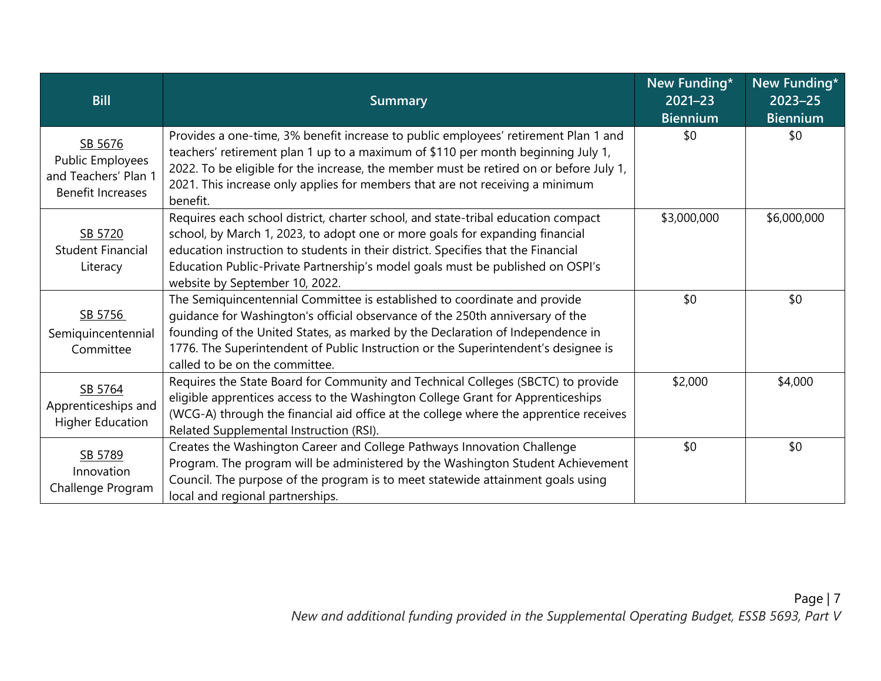| <b>Bill</b>                                                                     | <b>Summary</b>                                                                                                                                                                                                                                                                                                                                                             | New Funding*<br>$2021 - 23$ | New Funding*<br>$2023 - 25$ |
|---------------------------------------------------------------------------------|----------------------------------------------------------------------------------------------------------------------------------------------------------------------------------------------------------------------------------------------------------------------------------------------------------------------------------------------------------------------------|-----------------------------|-----------------------------|
|                                                                                 |                                                                                                                                                                                                                                                                                                                                                                            | <b>Biennium</b>             | <b>Biennium</b>             |
| SB 5676<br>Public Employees<br>and Teachers' Plan 1<br><b>Benefit Increases</b> | Provides a one-time, 3% benefit increase to public employees' retirement Plan 1 and<br>teachers' retirement plan 1 up to a maximum of \$110 per month beginning July 1,<br>2022. To be eligible for the increase, the member must be retired on or before July 1,<br>2021. This increase only applies for members that are not receiving a minimum<br>benefit.             | \$0                         | \$0                         |
| SB 5720<br><b>Student Financial</b><br>Literacy                                 | Requires each school district, charter school, and state-tribal education compact<br>school, by March 1, 2023, to adopt one or more goals for expanding financial<br>education instruction to students in their district. Specifies that the Financial<br>Education Public-Private Partnership's model goals must be published on OSPI's<br>website by September 10, 2022. | \$3,000,000                 | \$6,000,000                 |
| SB 5756<br>Semiquincentennial<br>Committee                                      | The Semiquincentennial Committee is established to coordinate and provide<br>guidance for Washington's official observance of the 250th anniversary of the<br>founding of the United States, as marked by the Declaration of Independence in<br>1776. The Superintendent of Public Instruction or the Superintendent's designee is<br>called to be on the committee.       | \$0                         | \$0                         |
| SB 5764<br>Apprenticeships and<br><b>Higher Education</b>                       | Requires the State Board for Community and Technical Colleges (SBCTC) to provide<br>eligible apprentices access to the Washington College Grant for Apprenticeships<br>(WCG-A) through the financial aid office at the college where the apprentice receives<br>Related Supplemental Instruction (RSI).                                                                    | \$2,000                     | \$4,000                     |
| SB 5789<br>Innovation<br>Challenge Program                                      | Creates the Washington Career and College Pathways Innovation Challenge<br>Program. The program will be administered by the Washington Student Achievement<br>Council. The purpose of the program is to meet statewide attainment goals using<br>local and regional partnerships.                                                                                          | \$0                         | \$0                         |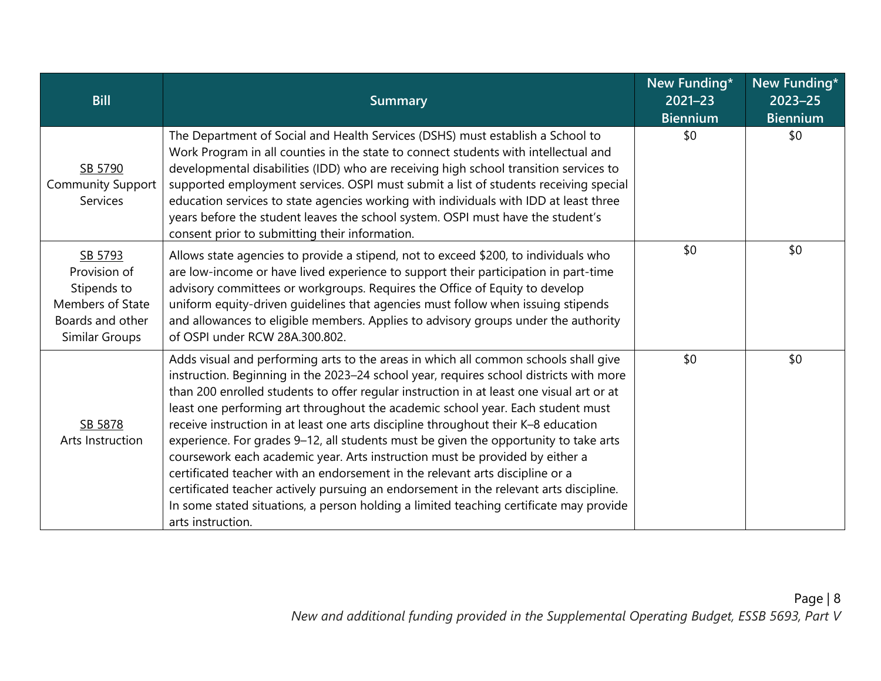| <b>Bill</b>                                                                                      | <b>Summary</b>                                                                                                                                                                                                                                                                                                                                                                                                                                                                                                                                                                                                                                                                                                                                                                                                                                                                                                       | New Funding*<br>$2021 - 23$<br><b>Biennium</b> | New Funding*<br>$2023 - 25$<br><b>Biennium</b> |
|--------------------------------------------------------------------------------------------------|----------------------------------------------------------------------------------------------------------------------------------------------------------------------------------------------------------------------------------------------------------------------------------------------------------------------------------------------------------------------------------------------------------------------------------------------------------------------------------------------------------------------------------------------------------------------------------------------------------------------------------------------------------------------------------------------------------------------------------------------------------------------------------------------------------------------------------------------------------------------------------------------------------------------|------------------------------------------------|------------------------------------------------|
| SB 5790<br><b>Community Support</b><br><b>Services</b>                                           | The Department of Social and Health Services (DSHS) must establish a School to<br>Work Program in all counties in the state to connect students with intellectual and<br>developmental disabilities (IDD) who are receiving high school transition services to<br>supported employment services. OSPI must submit a list of students receiving special<br>education services to state agencies working with individuals with IDD at least three<br>years before the student leaves the school system. OSPI must have the student's<br>consent prior to submitting their information.                                                                                                                                                                                                                                                                                                                                 | \$0                                            | \$0                                            |
| SB 5793<br>Provision of<br>Stipends to<br>Members of State<br>Boards and other<br>Similar Groups | Allows state agencies to provide a stipend, not to exceed \$200, to individuals who<br>are low-income or have lived experience to support their participation in part-time<br>advisory committees or workgroups. Requires the Office of Equity to develop<br>uniform equity-driven guidelines that agencies must follow when issuing stipends<br>and allowances to eligible members. Applies to advisory groups under the authority<br>of OSPI under RCW 28A.300.802.                                                                                                                                                                                                                                                                                                                                                                                                                                                | \$0                                            | \$0                                            |
| SB 5878<br>Arts Instruction                                                                      | Adds visual and performing arts to the areas in which all common schools shall give<br>instruction. Beginning in the 2023-24 school year, requires school districts with more<br>than 200 enrolled students to offer regular instruction in at least one visual art or at<br>least one performing art throughout the academic school year. Each student must<br>receive instruction in at least one arts discipline throughout their K-8 education<br>experience. For grades 9-12, all students must be given the opportunity to take arts<br>coursework each academic year. Arts instruction must be provided by either a<br>certificated teacher with an endorsement in the relevant arts discipline or a<br>certificated teacher actively pursuing an endorsement in the relevant arts discipline.<br>In some stated situations, a person holding a limited teaching certificate may provide<br>arts instruction. | \$0                                            | \$0                                            |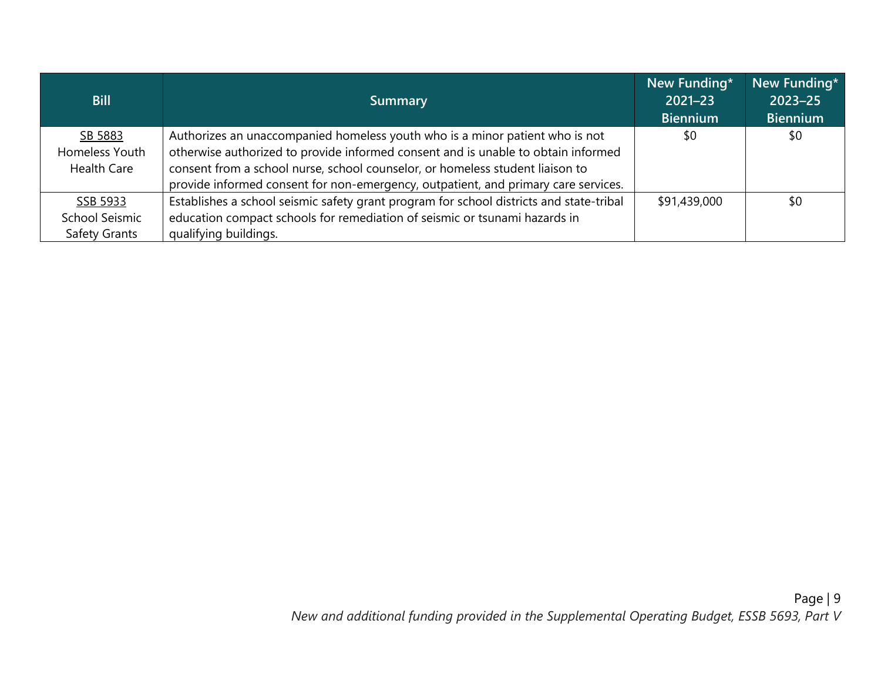| <b>Bill</b>          | <b>Summary</b>                                                                          | New Funding*<br>$2021 - 23$<br><b>Biennium</b> | New Funding*<br>$2023 - 25$<br><b>Biennium</b> |
|----------------------|-----------------------------------------------------------------------------------------|------------------------------------------------|------------------------------------------------|
| SB 5883              | Authorizes an unaccompanied homeless youth who is a minor patient who is not            | \$0                                            | \$0                                            |
| Homeless Youth       | otherwise authorized to provide informed consent and is unable to obtain informed       |                                                |                                                |
| <b>Health Care</b>   | consent from a school nurse, school counselor, or homeless student liaison to           |                                                |                                                |
|                      | provide informed consent for non-emergency, outpatient, and primary care services.      |                                                |                                                |
| SSB 5933             | Establishes a school seismic safety grant program for school districts and state-tribal | \$91,439,000                                   | \$0                                            |
| School Seismic       | education compact schools for remediation of seismic or tsunami hazards in              |                                                |                                                |
| <b>Safety Grants</b> | qualifying buildings.                                                                   |                                                |                                                |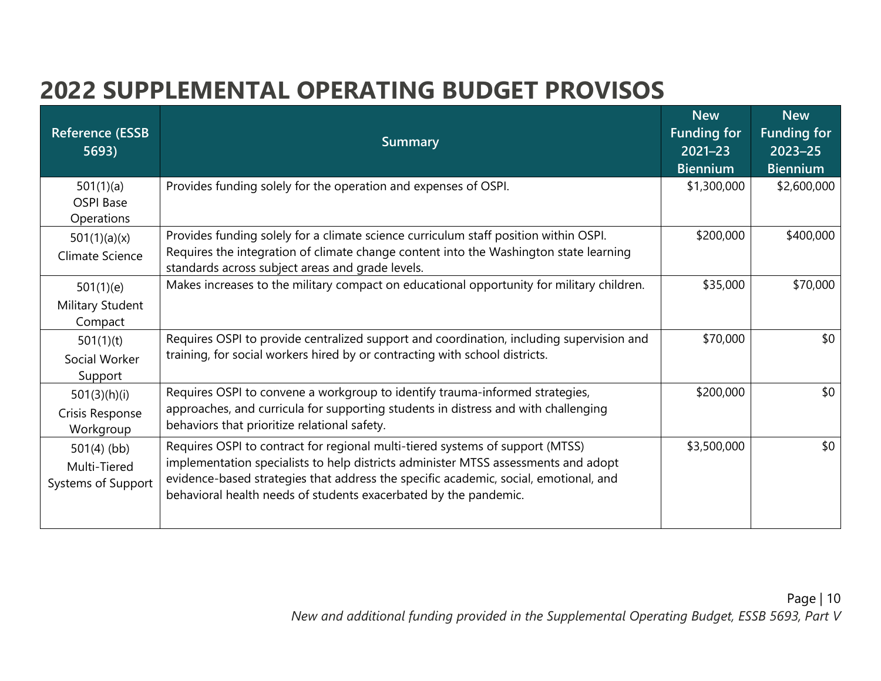### **2022 SUPPLEMENTAL OPERATING BUDGET PROVISOS**

| <b>Reference (ESSB</b><br>5693)                     | <b>Summary</b>                                                                                                                                                                                                                                                                                                                  | <b>New</b><br><b>Funding for</b><br>$2021 - 23$ | <b>New</b><br><b>Funding for</b><br>$2023 - 25$ |
|-----------------------------------------------------|---------------------------------------------------------------------------------------------------------------------------------------------------------------------------------------------------------------------------------------------------------------------------------------------------------------------------------|-------------------------------------------------|-------------------------------------------------|
| 501(1)(a)<br><b>OSPI Base</b><br>Operations         | Provides funding solely for the operation and expenses of OSPI.                                                                                                                                                                                                                                                                 | <b>Biennium</b><br>\$1,300,000                  | <b>Biennium</b><br>\$2,600,000                  |
| 501(1)(a)(x)<br>Climate Science                     | Provides funding solely for a climate science curriculum staff position within OSPI.<br>Requires the integration of climate change content into the Washington state learning<br>standards across subject areas and grade levels.                                                                                               | \$200,000                                       | \$400,000                                       |
| 501(1)(e)<br>Military Student<br>Compact            | Makes increases to the military compact on educational opportunity for military children.                                                                                                                                                                                                                                       | \$35,000                                        | \$70,000                                        |
| 501(1)(t)<br>Social Worker<br>Support               | Requires OSPI to provide centralized support and coordination, including supervision and<br>training, for social workers hired by or contracting with school districts.                                                                                                                                                         | \$70,000                                        | \$0                                             |
| 501(3)(h)(i)<br>Crisis Response<br>Workgroup        | Requires OSPI to convene a workgroup to identify trauma-informed strategies,<br>approaches, and curricula for supporting students in distress and with challenging<br>behaviors that prioritize relational safety.                                                                                                              | \$200,000                                       | \$0                                             |
| $501(4)$ (bb)<br>Multi-Tiered<br>Systems of Support | Requires OSPI to contract for regional multi-tiered systems of support (MTSS)<br>implementation specialists to help districts administer MTSS assessments and adopt<br>evidence-based strategies that address the specific academic, social, emotional, and<br>behavioral health needs of students exacerbated by the pandemic. | \$3,500,000                                     | \$0                                             |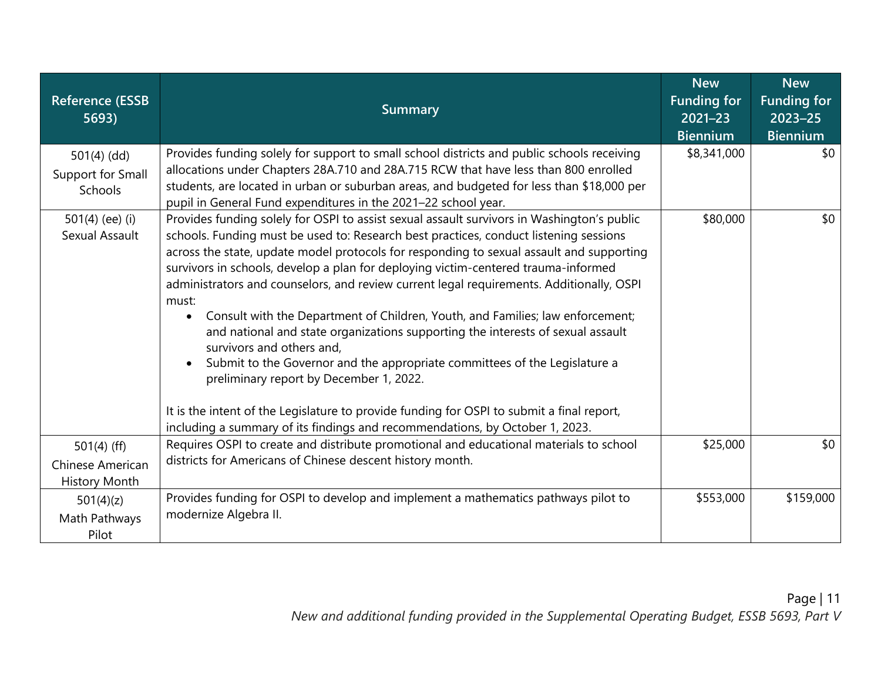| <b>Reference (ESSB</b><br>5693)                           | <b>Summary</b>                                                                                                                                                                                                                                                                                                                                                                                                                                                                                                                                                                                                                                                                                                                                                                                                                                                                                                                                                                     | <b>New</b><br><b>Funding for</b><br>2021-23<br><b>Biennium</b> | <b>New</b><br><b>Funding for</b><br>$2023 - 25$<br><b>Biennium</b> |
|-----------------------------------------------------------|------------------------------------------------------------------------------------------------------------------------------------------------------------------------------------------------------------------------------------------------------------------------------------------------------------------------------------------------------------------------------------------------------------------------------------------------------------------------------------------------------------------------------------------------------------------------------------------------------------------------------------------------------------------------------------------------------------------------------------------------------------------------------------------------------------------------------------------------------------------------------------------------------------------------------------------------------------------------------------|----------------------------------------------------------------|--------------------------------------------------------------------|
| $501(4)$ (dd)<br>Support for Small<br>Schools             | Provides funding solely for support to small school districts and public schools receiving<br>allocations under Chapters 28A.710 and 28A.715 RCW that have less than 800 enrolled<br>students, are located in urban or suburban areas, and budgeted for less than \$18,000 per<br>pupil in General Fund expenditures in the 2021-22 school year.                                                                                                                                                                                                                                                                                                                                                                                                                                                                                                                                                                                                                                   | \$8,341,000                                                    | \$0                                                                |
| 501 $(4)$ (ee) $(i)$<br>Sexual Assault                    | Provides funding solely for OSPI to assist sexual assault survivors in Washington's public<br>schools. Funding must be used to: Research best practices, conduct listening sessions<br>across the state, update model protocols for responding to sexual assault and supporting<br>survivors in schools, develop a plan for deploying victim-centered trauma-informed<br>administrators and counselors, and review current legal requirements. Additionally, OSPI<br>must:<br>Consult with the Department of Children, Youth, and Families; law enforcement;<br>and national and state organizations supporting the interests of sexual assault<br>survivors and others and,<br>Submit to the Governor and the appropriate committees of the Legislature a<br>preliminary report by December 1, 2022.<br>It is the intent of the Legislature to provide funding for OSPI to submit a final report,<br>including a summary of its findings and recommendations, by October 1, 2023. | \$80,000                                                       | \$0\$                                                              |
| $501(4)$ (ff)<br>Chinese American<br><b>History Month</b> | Requires OSPI to create and distribute promotional and educational materials to school<br>districts for Americans of Chinese descent history month.                                                                                                                                                                                                                                                                                                                                                                                                                                                                                                                                                                                                                                                                                                                                                                                                                                | \$25,000                                                       | \$0\$                                                              |
| 501(4)(z)<br>Math Pathways<br>Pilot                       | Provides funding for OSPI to develop and implement a mathematics pathways pilot to<br>modernize Algebra II.                                                                                                                                                                                                                                                                                                                                                                                                                                                                                                                                                                                                                                                                                                                                                                                                                                                                        | \$553,000                                                      | \$159,000                                                          |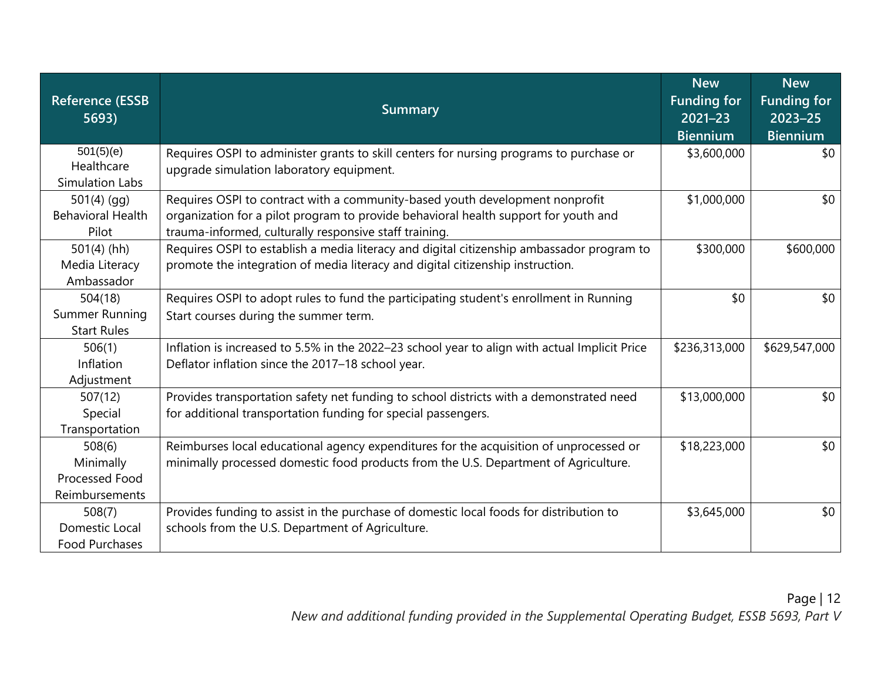| <b>Reference (ESSB</b><br>5693)                         | <b>Summary</b>                                                                                                                                                                                                                | <b>New</b><br><b>Funding for</b><br>$2021 - 23$<br><b>Biennium</b> | <b>New</b><br><b>Funding for</b><br>$2023 - 25$<br><b>Biennium</b> |
|---------------------------------------------------------|-------------------------------------------------------------------------------------------------------------------------------------------------------------------------------------------------------------------------------|--------------------------------------------------------------------|--------------------------------------------------------------------|
| 501(5)(e)<br>Healthcare<br>Simulation Labs              | Requires OSPI to administer grants to skill centers for nursing programs to purchase or<br>upgrade simulation laboratory equipment.                                                                                           | \$3,600,000                                                        | \$0                                                                |
| $501(4)$ (gg)<br><b>Behavioral Health</b><br>Pilot      | Requires OSPI to contract with a community-based youth development nonprofit<br>organization for a pilot program to provide behavioral health support for youth and<br>trauma-informed, culturally responsive staff training. | \$1,000,000                                                        | \$0                                                                |
| $501(4)$ (hh)<br>Media Literacy<br>Ambassador           | Requires OSPI to establish a media literacy and digital citizenship ambassador program to<br>promote the integration of media literacy and digital citizenship instruction.                                                   | \$300,000                                                          | \$600,000                                                          |
| 504(18)<br>Summer Running<br><b>Start Rules</b>         | Requires OSPI to adopt rules to fund the participating student's enrollment in Running<br>Start courses during the summer term.                                                                                               | \$0                                                                | \$0                                                                |
| 506(1)<br>Inflation<br>Adjustment                       | Inflation is increased to 5.5% in the 2022-23 school year to align with actual Implicit Price<br>Deflator inflation since the 2017-18 school year.                                                                            | \$236,313,000                                                      | \$629,547,000                                                      |
| 507(12)<br>Special<br>Transportation                    | Provides transportation safety net funding to school districts with a demonstrated need<br>for additional transportation funding for special passengers.                                                                      | \$13,000,000                                                       | \$0                                                                |
| 508(6)<br>Minimally<br>Processed Food<br>Reimbursements | Reimburses local educational agency expenditures for the acquisition of unprocessed or<br>minimally processed domestic food products from the U.S. Department of Agriculture.                                                 | \$18,223,000                                                       | \$0                                                                |
| 508(7)<br>Domestic Local<br>Food Purchases              | Provides funding to assist in the purchase of domestic local foods for distribution to<br>schools from the U.S. Department of Agriculture.                                                                                    | \$3,645,000                                                        | \$0                                                                |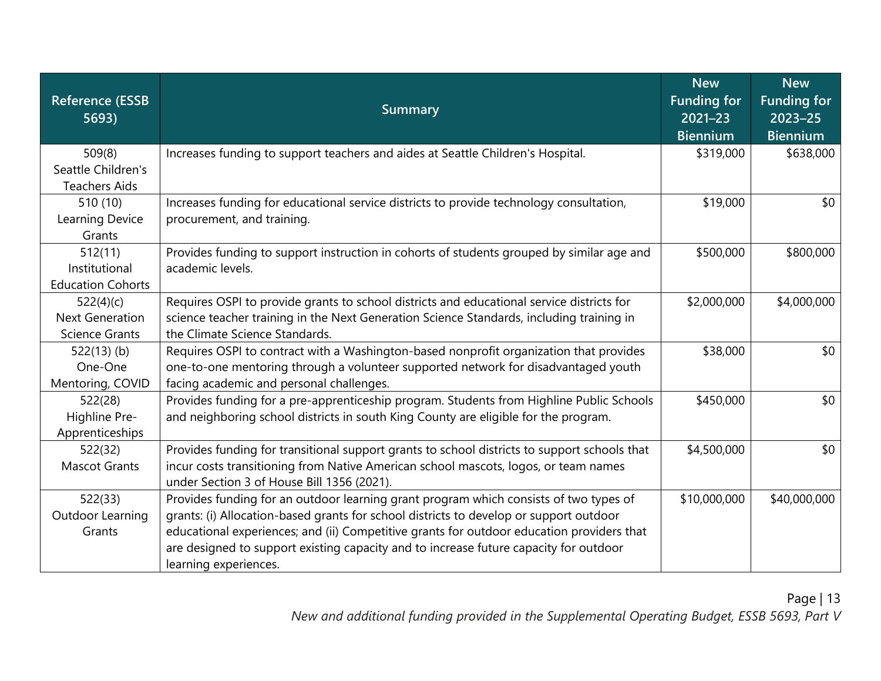| <b>Reference (ESSB</b><br>5693)                              | <b>Summary</b>                                                                                                                                                                                                                                                                                                                                                                                 | <b>New</b><br><b>Funding for</b><br>$2021 - 23$<br><b>Biennium</b> | <b>New</b><br><b>Funding for</b><br>$2023 - 25$<br><b>Biennium</b> |
|--------------------------------------------------------------|------------------------------------------------------------------------------------------------------------------------------------------------------------------------------------------------------------------------------------------------------------------------------------------------------------------------------------------------------------------------------------------------|--------------------------------------------------------------------|--------------------------------------------------------------------|
| 509(8)<br>Seattle Children's<br><b>Teachers Aids</b>         | Increases funding to support teachers and aides at Seattle Children's Hospital.                                                                                                                                                                                                                                                                                                                | \$319,000                                                          | \$638,000                                                          |
| 510 (10)<br>Learning Device<br>Grants                        | Increases funding for educational service districts to provide technology consultation,<br>procurement, and training.                                                                                                                                                                                                                                                                          | \$19,000                                                           | \$0                                                                |
| 512(11)<br>Institutional<br><b>Education Cohorts</b>         | Provides funding to support instruction in cohorts of students grouped by similar age and<br>academic levels.                                                                                                                                                                                                                                                                                  | \$500,000                                                          | \$800,000                                                          |
| 522(4)(c)<br><b>Next Generation</b><br><b>Science Grants</b> | Requires OSPI to provide grants to school districts and educational service districts for<br>science teacher training in the Next Generation Science Standards, including training in<br>the Climate Science Standards.                                                                                                                                                                        | \$2,000,000                                                        | \$4,000,000                                                        |
| $522(13)$ (b)<br>One-One<br>Mentoring, COVID                 | Requires OSPI to contract with a Washington-based nonprofit organization that provides<br>one-to-one mentoring through a volunteer supported network for disadvantaged youth<br>facing academic and personal challenges.                                                                                                                                                                       | \$38,000                                                           | \$0                                                                |
| 522(28)<br>Highline Pre-<br>Apprenticeships                  | Provides funding for a pre-apprenticeship program. Students from Highline Public Schools<br>and neighboring school districts in south King County are eligible for the program.                                                                                                                                                                                                                | \$450,000                                                          | \$0                                                                |
| 522(32)<br><b>Mascot Grants</b>                              | Provides funding for transitional support grants to school districts to support schools that<br>incur costs transitioning from Native American school mascots, logos, or team names<br>under Section 3 of House Bill 1356 (2021).                                                                                                                                                              | \$4,500,000                                                        | \$0                                                                |
| 522(33)<br>Outdoor Learning<br>Grants                        | Provides funding for an outdoor learning grant program which consists of two types of<br>grants: (i) Allocation-based grants for school districts to develop or support outdoor<br>educational experiences; and (ii) Competitive grants for outdoor education providers that<br>are designed to support existing capacity and to increase future capacity for outdoor<br>learning experiences. | \$10,000,000                                                       | \$40,000,000                                                       |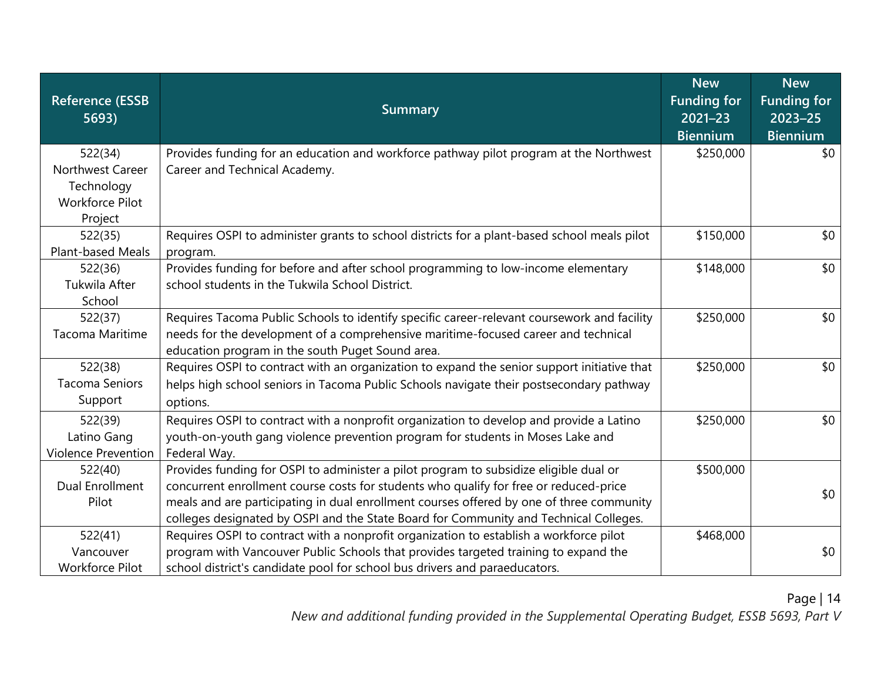| <b>Reference (ESSB</b><br>5693) | <b>Summary</b>                                                                              | <b>New</b><br><b>Funding for</b><br>$2021 - 23$<br><b>Biennium</b> | <b>New</b><br><b>Funding for</b><br>$2023 - 25$<br><b>Biennium</b> |
|---------------------------------|---------------------------------------------------------------------------------------------|--------------------------------------------------------------------|--------------------------------------------------------------------|
| 522(34)                         | Provides funding for an education and workforce pathway pilot program at the Northwest      | \$250,000                                                          | \$0                                                                |
| Northwest Career                | Career and Technical Academy.                                                               |                                                                    |                                                                    |
| Technology                      |                                                                                             |                                                                    |                                                                    |
| <b>Workforce Pilot</b>          |                                                                                             |                                                                    |                                                                    |
| Project                         |                                                                                             |                                                                    |                                                                    |
| 522(35)                         | Requires OSPI to administer grants to school districts for a plant-based school meals pilot | \$150,000                                                          | \$0                                                                |
| Plant-based Meals               | program.                                                                                    |                                                                    |                                                                    |
| 522(36)                         | Provides funding for before and after school programming to low-income elementary           | \$148,000                                                          | \$0                                                                |
| Tukwila After                   | school students in the Tukwila School District.                                             |                                                                    |                                                                    |
| School                          |                                                                                             |                                                                    |                                                                    |
| 522(37)                         | Requires Tacoma Public Schools to identify specific career-relevant coursework and facility | \$250,000                                                          | \$0                                                                |
| Tacoma Maritime                 | needs for the development of a comprehensive maritime-focused career and technical          |                                                                    |                                                                    |
|                                 | education program in the south Puget Sound area.                                            |                                                                    |                                                                    |
| 522(38)                         | Requires OSPI to contract with an organization to expand the senior support initiative that | \$250,000                                                          | \$0                                                                |
| <b>Tacoma Seniors</b>           | helps high school seniors in Tacoma Public Schools navigate their postsecondary pathway     |                                                                    |                                                                    |
| Support                         | options.                                                                                    |                                                                    |                                                                    |
| 522(39)                         | Requires OSPI to contract with a nonprofit organization to develop and provide a Latino     | \$250,000                                                          | \$0                                                                |
| Latino Gang                     | youth-on-youth gang violence prevention program for students in Moses Lake and              |                                                                    |                                                                    |
| <b>Violence Prevention</b>      | Federal Way.                                                                                |                                                                    |                                                                    |
| 522(40)                         | Provides funding for OSPI to administer a pilot program to subsidize eligible dual or       | \$500,000                                                          |                                                                    |
| <b>Dual Enrollment</b>          | concurrent enrollment course costs for students who qualify for free or reduced-price       |                                                                    | \$0                                                                |
| Pilot                           | meals and are participating in dual enrollment courses offered by one of three community    |                                                                    |                                                                    |
|                                 | colleges designated by OSPI and the State Board for Community and Technical Colleges.       |                                                                    |                                                                    |
| 522(41)                         | Requires OSPI to contract with a nonprofit organization to establish a workforce pilot      | \$468,000                                                          |                                                                    |
| Vancouver                       | program with Vancouver Public Schools that provides targeted training to expand the         |                                                                    | \$0                                                                |
| <b>Workforce Pilot</b>          | school district's candidate pool for school bus drivers and paraeducators.                  |                                                                    |                                                                    |

*New and additional funding provided in the Supplemental Operating Budget, ESSB 5693, Part V*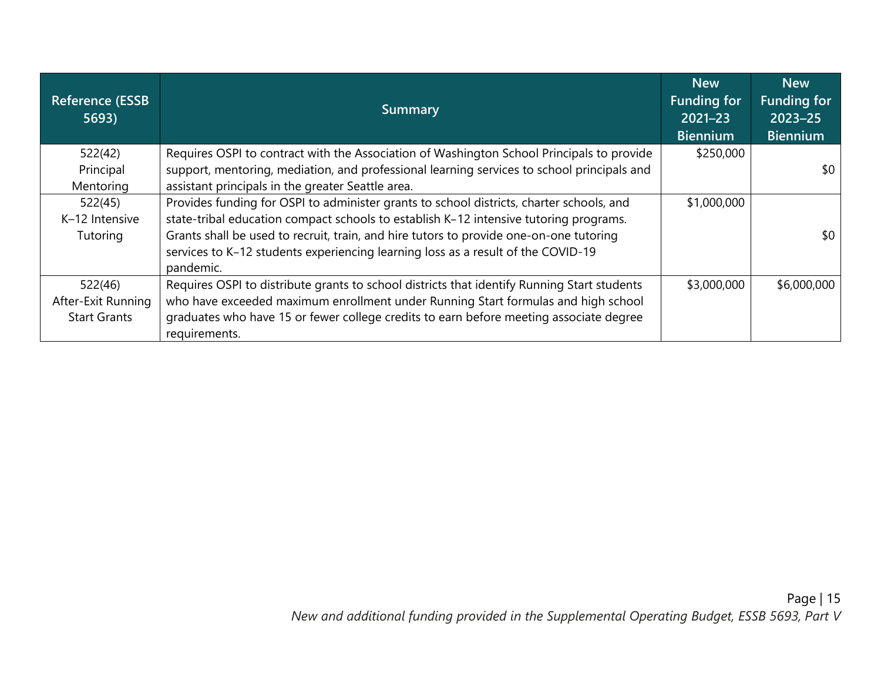| <b>Reference (ESSB</b><br>5693) | <b>Summary</b>                                                                                | <b>New</b><br><b>Funding for</b><br>$2021 - 23$<br><b>Biennium</b> | <b>New</b><br><b>Funding for</b><br>$2023 - 25$<br><b>Biennium</b> |
|---------------------------------|-----------------------------------------------------------------------------------------------|--------------------------------------------------------------------|--------------------------------------------------------------------|
| 522(42)                         | Requires OSPI to contract with the Association of Washington School Principals to provide     | \$250,000                                                          |                                                                    |
| Principal                       | support, mentoring, mediation, and professional learning services to school principals and    |                                                                    | \$0                                                                |
| Mentoring                       | assistant principals in the greater Seattle area.                                             |                                                                    |                                                                    |
| 522(45)                         | Provides funding for OSPI to administer grants to school districts, charter schools, and      | \$1,000,000                                                        |                                                                    |
| K-12 Intensive                  | state-tribal education compact schools to establish K-12 intensive tutoring programs.         |                                                                    |                                                                    |
| Tutoring                        | Grants shall be used to recruit, train, and hire tutors to provide one-on-one tutoring        |                                                                    | \$0                                                                |
|                                 | services to K-12 students experiencing learning loss as a result of the COVID-19<br>pandemic. |                                                                    |                                                                    |
| 522(46)                         | Requires OSPI to distribute grants to school districts that identify Running Start students   | \$3,000,000                                                        | \$6,000,000                                                        |
| After-Exit Running              | who have exceeded maximum enrollment under Running Start formulas and high school             |                                                                    |                                                                    |
| <b>Start Grants</b>             | graduates who have 15 or fewer college credits to earn before meeting associate degree        |                                                                    |                                                                    |
|                                 | requirements.                                                                                 |                                                                    |                                                                    |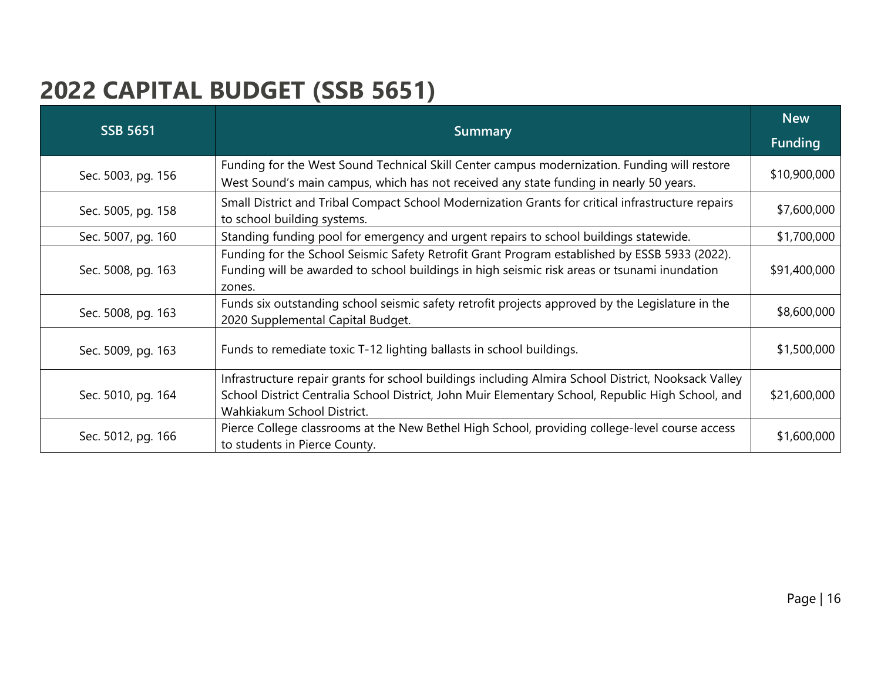#### **2022 CAPITAL BUDGET (SSB 5651)**

| <b>SSB 5651</b>    | <b>Summary</b>                                                                                                                                                                                                                         |              |
|--------------------|----------------------------------------------------------------------------------------------------------------------------------------------------------------------------------------------------------------------------------------|--------------|
|                    |                                                                                                                                                                                                                                        |              |
| Sec. 5003, pg. 156 | Funding for the West Sound Technical Skill Center campus modernization. Funding will restore<br>West Sound's main campus, which has not received any state funding in nearly 50 years.                                                 | \$10,900,000 |
| Sec. 5005, pg. 158 | Small District and Tribal Compact School Modernization Grants for critical infrastructure repairs<br>to school building systems.                                                                                                       | \$7,600,000  |
| Sec. 5007, pg. 160 | Standing funding pool for emergency and urgent repairs to school buildings statewide.                                                                                                                                                  | \$1,700,000  |
| Sec. 5008, pg. 163 | Funding for the School Seismic Safety Retrofit Grant Program established by ESSB 5933 (2022).<br>Funding will be awarded to school buildings in high seismic risk areas or tsunami inundation<br>zones.                                | \$91,400,000 |
| Sec. 5008, pg. 163 | Funds six outstanding school seismic safety retrofit projects approved by the Legislature in the<br>2020 Supplemental Capital Budget.                                                                                                  | \$8,600,000  |
| Sec. 5009, pg. 163 | Funds to remediate toxic T-12 lighting ballasts in school buildings.                                                                                                                                                                   | \$1,500,000  |
| Sec. 5010, pg. 164 | Infrastructure repair grants for school buildings including Almira School District, Nooksack Valley<br>School District Centralia School District, John Muir Elementary School, Republic High School, and<br>Wahkiakum School District. | \$21,600,000 |
| Sec. 5012, pg. 166 | Pierce College classrooms at the New Bethel High School, providing college-level course access<br>to students in Pierce County.                                                                                                        | \$1,600,000  |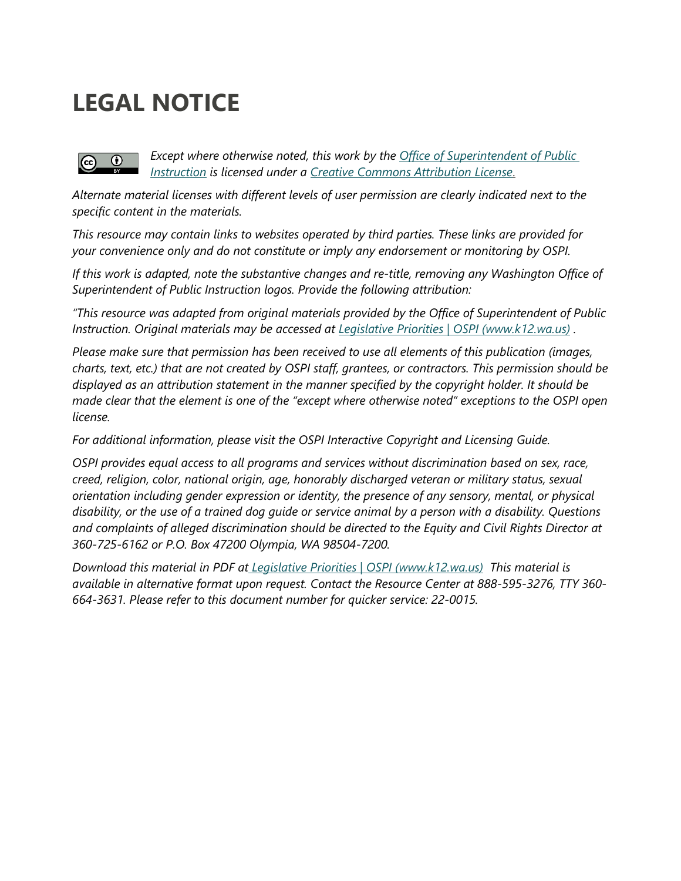# **LEGAL NOTICE**

#### *Except where otherwise noted, this work by the [Office of Superintendent of Public](http://www.k12.wa.us/)*   $\odot$  $\left( \mathrm{cc}\right)$ *[Instruction](http://www.k12.wa.us/) is licensed under a [Creative Commons Attribution License](http://creativecommons.org/licenses/by/4.0/)*.

*Alternate material licenses with different levels of user permission are clearly indicated next to the specific content in the materials.* 

*This resource may contain links to websites operated by third parties. These links are provided for your convenience only and do not constitute or imply any endorsement or monitoring by OSPI.* 

*If this work is adapted, note the substantive changes and re-title, removing any Washington Office of Superintendent of Public Instruction logos. Provide the following attribution:*

*"This resource was adapted from original materials provided by the Office of Superintendent of Public Instruction. Original materials may be accessed at Legislative Priorities | OSPI (www.k12.wa.us) .*

*Please make sure that permission has been received to use all elements of this publication (images, charts, text, etc.) that are not created by OSPI staff, grantees, or contractors. This permission should be displayed as an attribution statement in the manner specified by the copyright holder. It should be made clear that the element is one of the "except where otherwise noted" exceptions to the OSPI open license.* 

*For additional information, please visit the [OSPI Interactive Copyright and Licensing Guide.](http://www.surveygizmo.com/s3/2689472/CopyrightLicensingGuide)*

*OSPI provides equal access to all programs and services without discrimination based on sex, race, creed, religion, color, national origin, age, honorably discharged veteran or military status, sexual orientation including gender expression or identity, the presence of any sensory, mental, or physical disability, or the use of a trained dog guide or service animal by a person with a disability. Questions and complaints of alleged discrimination should be directed to the Equity and Civil Rights Director at 360-725-6162 or P.O. Box 47200 Olympia, WA 98504-7200.*

*Download this material in PDF at Legislative Priorities | OSPI (www.k12.wa.us) This material is available in alternative format upon request. Contact the Resource Center at 888-595-3276, TTY 360- 664-3631. Please refer to this document number for quicker service: 22-0015.*